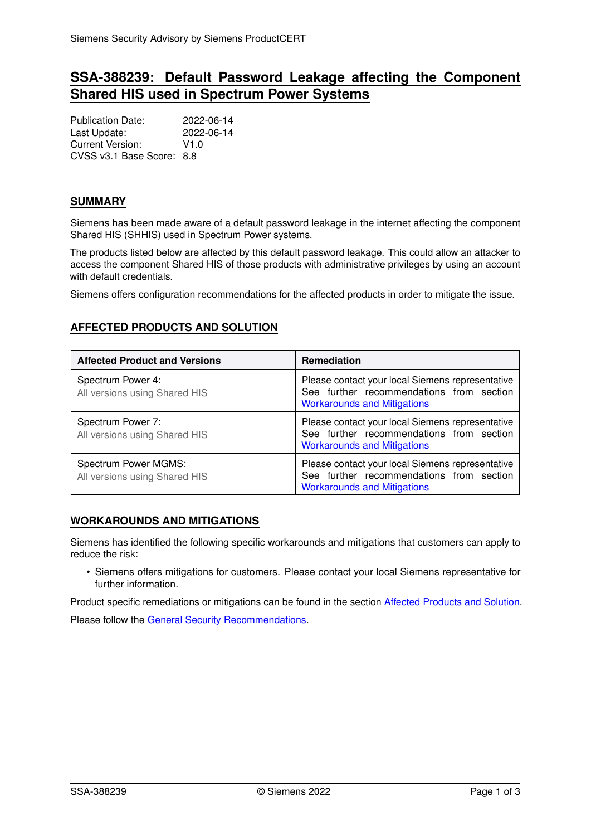# **SSA-388239: Default Password Leakage affecting the Component Shared HIS used in Spectrum Power Systems**

Publication Date: 2022-06-14 Last Update: 2022-06-14 Current Version: V1.0 CVSS v3.1 Base Score: 8.8

# **SUMMARY**

Siemens has been made aware of a default password leakage in the internet affecting the component Shared HIS (SHHIS) used in Spectrum Power systems.

The products listed below are affected by this default password leakage. This could allow an attacker to access the component Shared HIS of those products with administrative privileges by using an account with default credentials.

<span id="page-0-1"></span>Siemens offers configuration recommendations for the affected products in order to mitigate the issue.

# **AFFECTED PRODUCTS AND SOLUTION**

| <b>Affected Product and Versions</b>                  | <b>Remediation</b>                                                                                                                 |
|-------------------------------------------------------|------------------------------------------------------------------------------------------------------------------------------------|
| Spectrum Power 4:<br>All versions using Shared HIS    | Please contact your local Siemens representative<br>See further recommendations from section<br><b>Workarounds and Mitigations</b> |
| Spectrum Power 7:<br>All versions using Shared HIS    | Please contact your local Siemens representative<br>See further recommendations from section<br><b>Workarounds and Mitigations</b> |
| Spectrum Power MGMS:<br>All versions using Shared HIS | Please contact your local Siemens representative<br>See further recommendations from section<br><b>Workarounds and Mitigations</b> |

#### <span id="page-0-0"></span>**WORKAROUNDS AND MITIGATIONS**

Siemens has identified the following specific workarounds and mitigations that customers can apply to reduce the risk:

• Siemens offers mitigations for customers. Please contact your local Siemens representative for further information.

Product specific remediations or mitigations can be found in the section [Affected Products and Solution.](#page-0-1)

<span id="page-0-2"></span>Please follow the [General Security Recommendations.](#page-0-2)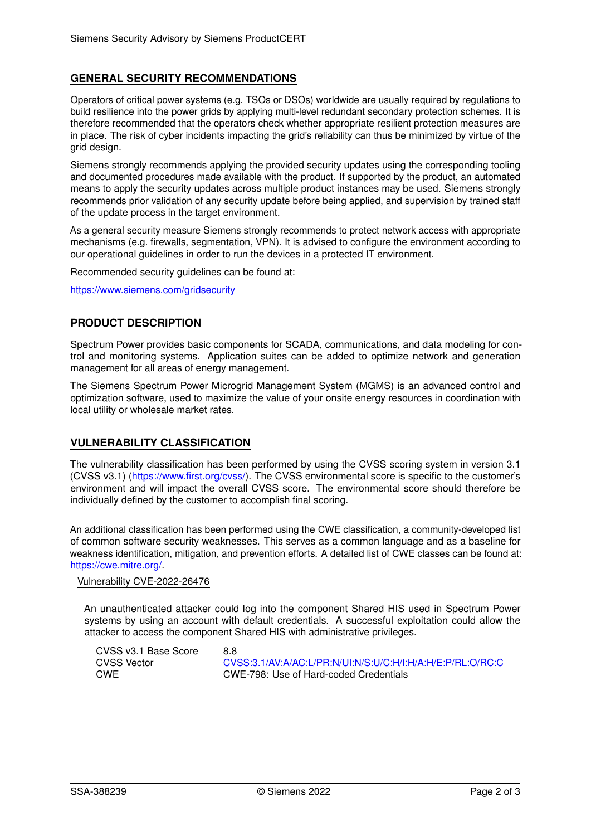# **GENERAL SECURITY RECOMMENDATIONS**

Operators of critical power systems (e.g. TSOs or DSOs) worldwide are usually required by regulations to build resilience into the power grids by applying multi-level redundant secondary protection schemes. It is therefore recommended that the operators check whether appropriate resilient protection measures are in place. The risk of cyber incidents impacting the grid's reliability can thus be minimized by virtue of the grid design.

Siemens strongly recommends applying the provided security updates using the corresponding tooling and documented procedures made available with the product. If supported by the product, an automated means to apply the security updates across multiple product instances may be used. Siemens strongly recommends prior validation of any security update before being applied, and supervision by trained staff of the update process in the target environment.

As a general security measure Siemens strongly recommends to protect network access with appropriate mechanisms (e.g. firewalls, segmentation, VPN). It is advised to configure the environment according to our operational guidelines in order to run the devices in a protected IT environment.

Recommended security guidelines can be found at:

<https://www.siemens.com/gridsecurity>

# **PRODUCT DESCRIPTION**

Spectrum Power provides basic components for SCADA, communications, and data modeling for control and monitoring systems. Application suites can be added to optimize network and generation management for all areas of energy management.

The Siemens Spectrum Power Microgrid Management System (MGMS) is an advanced control and optimization software, used to maximize the value of your onsite energy resources in coordination with local utility or wholesale market rates.

#### **VULNERABILITY CLASSIFICATION**

The vulnerability classification has been performed by using the CVSS scoring system in version 3.1 (CVSS v3.1) [\(https://www.first.org/cvss/\)](https://www.first.org/cvss/). The CVSS environmental score is specific to the customer's environment and will impact the overall CVSS score. The environmental score should therefore be individually defined by the customer to accomplish final scoring.

An additional classification has been performed using the CWE classification, a community-developed list of common software security weaknesses. This serves as a common language and as a baseline for weakness identification, mitigation, and prevention efforts. A detailed list of CWE classes can be found at: [https://cwe.mitre.org/.](https://cwe.mitre.org/)

#### Vulnerability CVE-2022-26476

An unauthenticated attacker could log into the component Shared HIS used in Spectrum Power systems by using an account with default credentials. A successful exploitation could allow the attacker to access the component Shared HIS with administrative privileges.

| CVSS v3.1 Base Score | 8.8                                                        |
|----------------------|------------------------------------------------------------|
| CVSS Vector          | CVSS:3.1/AV:A/AC:L/PR:N/UI:N/S:U/C:H/I:H/A:H/E:P/RL:O/RC:C |
| CWE                  | CWE-798: Use of Hard-coded Credentials                     |